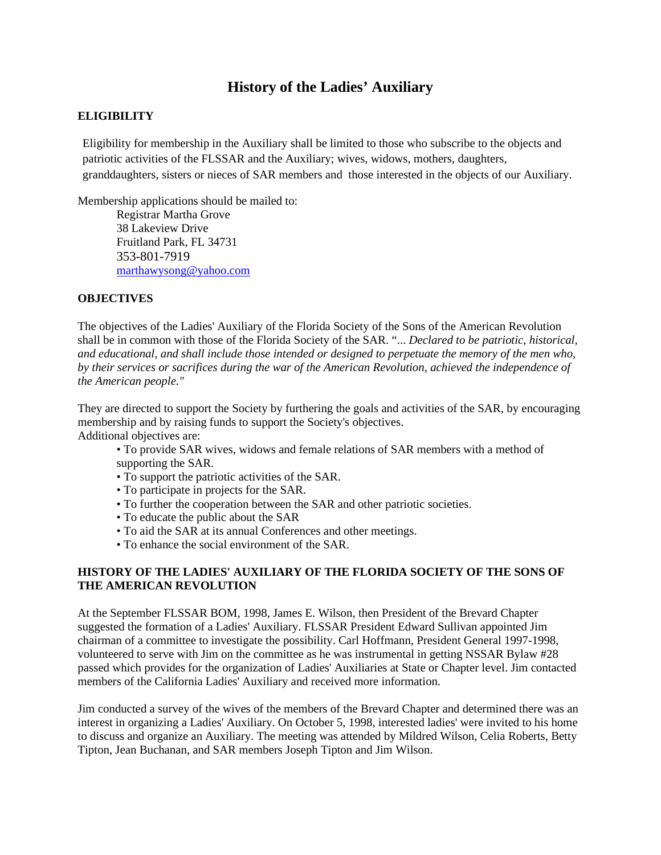# **History of the Ladies' Auxiliary**

## **ELIGIBILITY**

Eligibility for membership in the Auxiliary shall be limited to those who subscribe to the objects and patriotic activities of the FLSSAR and the Auxiliary; wives, widows, mothers, daughters, granddaughters, sisters or nieces of SAR members and those interested in the objects of our Auxiliary.

Membership applications should be mailed to:

Registrar Martha Grove 38 Lakeview Drive Fruitland Park, FL 34731 353-801-7919 [marthawysong@yahoo.com](mailto:marthawysong@yahoo.com)

### **OBJECTIVES**

The objectives of the Ladies' Auxiliary of the Florida Society of the Sons of the American Revolution shall be in common with those of the Florida Society of the SAR. "... *Declared to be patriotic, historical, and educational, and shall include those intended or designed to perpetuate the memory of the men who, by their services or sacrifices during the war of the American Revolution, achieved the independence of the American people."* 

They are directed to support the Society by furthering the goals and activities of the SAR, by encouraging membership and by raising funds to support the Society's objectives. Additional objectives are:

- To provide SAR wives, widows and female relations of SAR members with a method of supporting the SAR.
- To support the patriotic activities of the SAR.
- To participate in projects for the SAR.
- To further the cooperation between the SAR and other patriotic societies.
- To educate the public about the SAR
- To aid the SAR at its annual Conferences and other meetings.
- To enhance the social environment of the SAR.

### **HISTORY OF THE LADIES' AUXILIARY OF THE FLORIDA SOCIETY OF THE SONS OF THE AMERICAN REVOLUTION**

At the September FLSSAR BOM, 1998, James E. Wilson, then President of the Brevard Chapter suggested the formation of a Ladies' Auxiliary. FLSSAR President Edward Sullivan appointed Jim chairman of a committee to investigate the possibility. Carl Hoffmann, President General 1997-1998, volunteered to serve with Jim on the committee as he was instrumental in getting NSSAR Bylaw #28 passed which provides for the organization of Ladies' Auxiliaries at State or Chapter level. Jim contacted members of the California Ladies' Auxiliary and received more information.

Jim conducted a survey of the wives of the members of the Brevard Chapter and determined there was an interest in organizing a Ladies' Auxiliary. On October 5, 1998, interested ladies' were invited to his home to discuss and organize an Auxiliary. The meeting was attended by Mildred Wilson, Celia Roberts, Betty Tipton, Jean Buchanan, and SAR members Joseph Tipton and Jim Wilson.